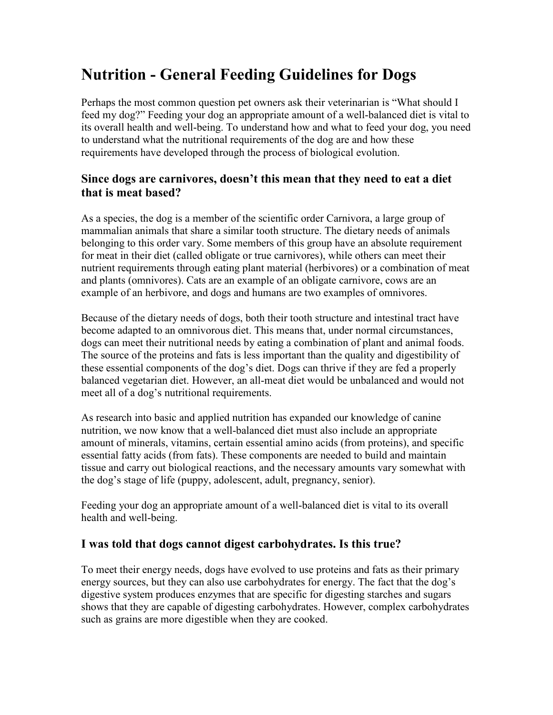# **Nutrition - General Feeding Guidelines for Dogs**

Perhaps the most common question pet owners ask their veterinarian is "What should I feed my dog?" Feeding your dog an appropriate amount of a well-balanced diet is vital to its overall health and well-being. To understand how and what to feed your dog, you need to understand what the nutritional requirements of the dog are and how these requirements have developed through the process of biological evolution.

## **Since dogs are carnivores, doesn't this mean that they need to eat a diet that is meat based?**

As a species, the dog is a member of the scientific order Carnivora, a large group of mammalian animals that share a similar tooth structure. The dietary needs of animals belonging to this order vary. Some members of this group have an absolute requirement for meat in their diet (called obligate or true carnivores), while others can meet their nutrient requirements through eating plant material (herbivores) or a combination of meat and plants (omnivores). Cats are an example of an obligate carnivore, cows are an example of an herbivore, and dogs and humans are two examples of omnivores.

Because of the dietary needs of dogs, both their tooth structure and intestinal tract have become adapted to an omnivorous diet. This means that, under normal circumstances, dogs can meet their nutritional needs by eating a combination of plant and animal foods. The source of the proteins and fats is less important than the quality and digestibility of these essential components of the dog's diet. Dogs can thrive if they are fed a properly balanced vegetarian diet. However, an all-meat diet would be unbalanced and would not meet all of a dog's nutritional requirements.

As research into basic and applied nutrition has expanded our knowledge of canine nutrition, we now know that a well-balanced diet must also include an appropriate amount of minerals, vitamins, certain essential amino acids (from proteins), and specific essential fatty acids (from fats). These components are needed to build and maintain tissue and carry out biological reactions, and the necessary amounts vary somewhat with the dog's stage of life (puppy, adolescent, adult, pregnancy, senior).

Feeding your dog an appropriate amount of a well-balanced diet is vital to its overall health and well-being.

## **I was told that dogs cannot digest carbohydrates. Is this true?**

To meet their energy needs, dogs have evolved to use proteins and fats as their primary energy sources, but they can also use carbohydrates for energy. The fact that the dog's digestive system produces enzymes that are specific for digesting starches and sugars shows that they are capable of digesting carbohydrates. However, complex carbohydrates such as grains are more digestible when they are cooked.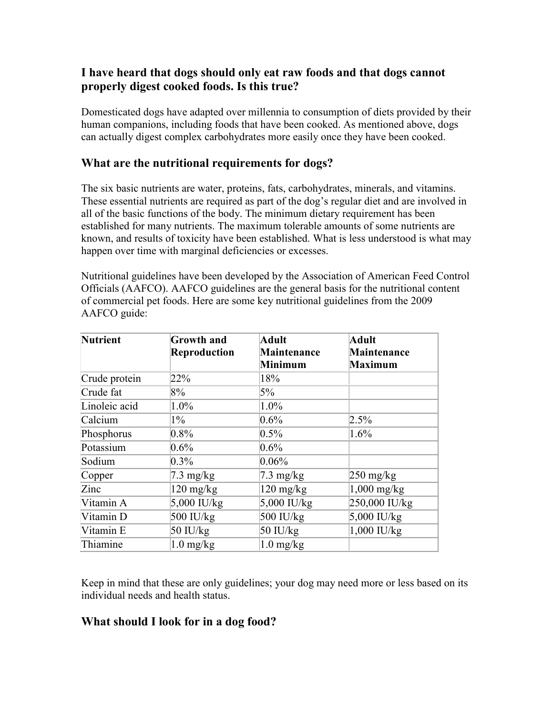# **I have heard that dogs should only eat raw foods and that dogs cannot properly digest cooked foods. Is this true?**

Domesticated dogs have adapted over millennia to consumption of diets provided by their human companions, including foods that have been cooked. As mentioned above, dogs can actually digest complex carbohydrates more easily once they have been cooked.

## **What are the nutritional requirements for dogs?**

The six basic nutrients are water, proteins, fats, carbohydrates, minerals, and vitamins. These essential nutrients are required as part of the dog's regular diet and are involved in all of the basic functions of the body. The minimum dietary requirement has been established for many nutrients. The maximum tolerable amounts of some nutrients are known, and results of toxicity have been established. What is less understood is what may happen over time with marginal deficiencies or excesses.

Nutritional guidelines have been developed by the Association of American Feed Control Officials (AAFCO). AAFCO guidelines are the general basis for the nutritional content of commercial pet foods. Here are some key nutritional guidelines from the 2009 AAFCO guide:

| <b>Nutrient</b> | <b>Growth and</b>   | <b>Adult</b>        | <b>Adult</b>                      |
|-----------------|---------------------|---------------------|-----------------------------------|
|                 | <b>Reproduction</b> | Maintenance         | Maintenance                       |
|                 |                     | <b>Minimum</b>      | <b>Maximum</b>                    |
| Crude protein   | 22%                 | 18%                 |                                   |
| Crude fat       | 8%                  | 5%                  |                                   |
| Linoleic acid   | 1.0%                | $1.0\%$             |                                   |
| Calcium         | $1\%$               | 0.6%                | 2.5%                              |
| Phosphorus      | 0.8%                | $0.5\%$             | 1.6%                              |
| Potassium       | $0.6\%$             | $0.6\%$             |                                   |
| Sodium          | $0.3\%$             | $0.06\%$            |                                   |
| Copper          | $7.3 \text{ mg/kg}$ | $7.3 \text{ mg/kg}$ | $250 \frac{\text{mg}}{\text{kg}}$ |
| Zinc            | $120 \text{ mg/kg}$ | $120 \text{ mg/kg}$ | $1,000$ mg/kg                     |
| Vitamin A       | 5,000 IU/kg         | $5,000$ IU/kg       | 250,000 IU/kg                     |
| Vitamin D       | 500 IU/kg           | 500 IU/kg           | $5,000$ IU/kg                     |
| Vitamin E       | $50$ IU/ $kg$       | $50$ IU/kg          | $1,000$ IU/kg                     |
| Thiamine        | $1.0$ mg/kg         | $1.0$ mg/kg         |                                   |

Keep in mind that these are only guidelines; your dog may need more or less based on its individual needs and health status.

# **What should I look for in a dog food?**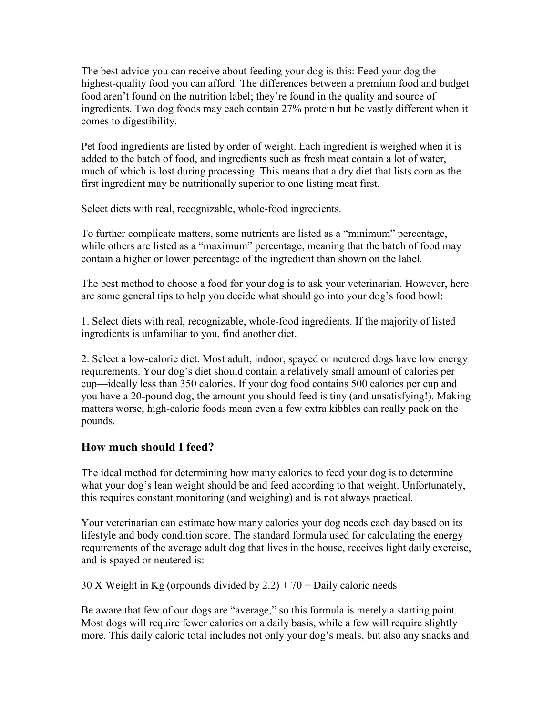The best advice you can receive about feeding your dog is this: Feed your dog the highest-quality food you can afford. The differences between a premium food and budget food aren't found on the nutrition label; they're found in the quality and source of ingredients. Two dog foods may each contain 27% protein but be vastly different when it comes to digestibility.

Pet food ingredients are listed by order of weight. Each ingredient is weighed when it is added to the batch of food, and ingredients such as fresh meat contain a lot of water, much of which is lost during processing. This means that a dry diet that lists corn as the first ingredient may be nutritionally superior to one listing meat first.

Select diets with real, recognizable, whole-food ingredients.

To further complicate matters, some nutrients are listed as a "minimum" percentage, while others are listed as a "maximum" percentage, meaning that the batch of food may contain a higher or lower percentage of the ingredient than shown on the label.

The best method to choose a food for your dog is to ask your veterinarian. However, here are some general tips to help you decide what should go into your dog's food bowl:

1. Select diets with real, recognizable, whole-food ingredients. If the majority of listed ingredients is unfamiliar to you, find another diet.

2. Select a low-calorie diet. Most adult, indoor, spayed or neutered dogs have low energy requirements. Your dog's diet should contain a relatively small amount of calories per cup—ideally less than 350 calories. If your dog food contains 500 calories per cup and you have a 20-pound dog, the amount you should feed is tiny (and unsatisfying!). Making matters worse, high-calorie foods mean even a few extra kibbles can really pack on the pounds.

# **How much should I feed?**

The ideal method for determining how many calories to feed your dog is to determine what your dog's lean weight should be and feed according to that weight. Unfortunately, this requires constant monitoring (and weighing) and is not always practical.

Your veterinarian can estimate how many calories your dog needs each day based on its lifestyle and body condition score. The standard formula used for calculating the energy requirements of the average adult dog that lives in the house, receives light daily exercise, and is spayed or neutered is:

30 X Weight in Kg (orpounds divided by  $2.2$ ) + 70 = Daily caloric needs

Be aware that few of our dogs are "average," so this formula is merely a starting point. Most dogs will require fewer calories on a daily basis, while a few will require slightly more. This daily caloric total includes not only your dog's meals, but also any snacks and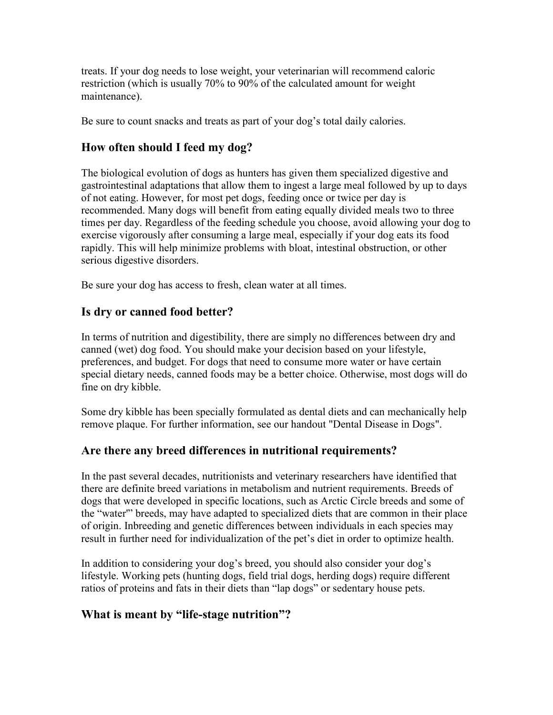treats. If your dog needs to lose weight, your veterinarian will recommend caloric restriction (which is usually 70% to 90% of the calculated amount for weight maintenance).

Be sure to count snacks and treats as part of your dog's total daily calories.

# **How often should I feed my dog?**

The biological evolution of dogs as hunters has given them specialized digestive and gastrointestinal adaptations that allow them to ingest a large meal followed by up to days of not eating. However, for most pet dogs, feeding once or twice per day is recommended. Many dogs will benefit from eating equally divided meals two to three times per day. Regardless of the feeding schedule you choose, avoid allowing your dog to exercise vigorously after consuming a large meal, especially if your dog eats its food rapidly. This will help minimize problems with bloat, intestinal obstruction, or other serious digestive disorders.

Be sure your dog has access to fresh, clean water at all times.

# **Is dry or canned food better?**

In terms of nutrition and digestibility, there are simply no differences between dry and canned (wet) dog food. You should make your decision based on your lifestyle, preferences, and budget. For dogs that need to consume more water or have certain special dietary needs, canned foods may be a better choice. Otherwise, most dogs will do fine on dry kibble.

Some dry kibble has been specially formulated as dental diets and can mechanically help remove plaque. For further information, see our handout "Dental Disease in Dogs".

## **Are there any breed differences in nutritional requirements?**

In the past several decades, nutritionists and veterinary researchers have identified that there are definite breed variations in metabolism and nutrient requirements. Breeds of dogs that were developed in specific locations, such as Arctic Circle breeds and some of the "water'" breeds, may have adapted to specialized diets that are common in their place of origin. Inbreeding and genetic differences between individuals in each species may result in further need for individualization of the pet's diet in order to optimize health.

In addition to considering your dog's breed, you should also consider your dog's lifestyle. Working pets (hunting dogs, field trial dogs, herding dogs) require different ratios of proteins and fats in their diets than "lap dogs" or sedentary house pets.

# **What is meant by "life-stage nutrition"?**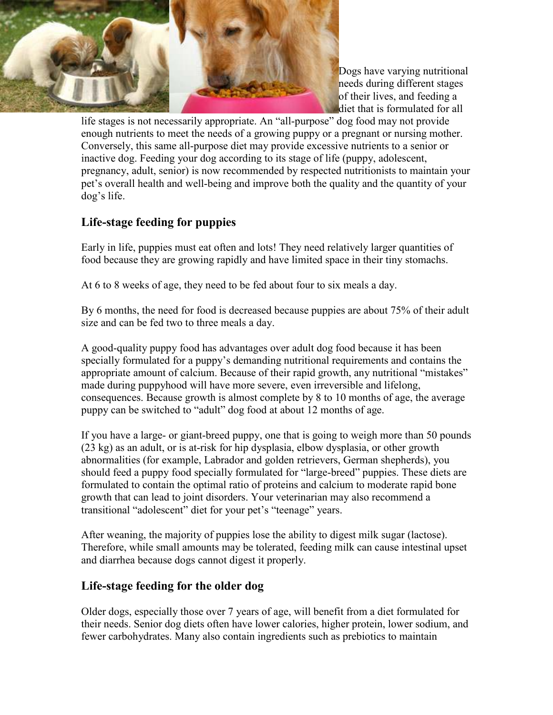

Dogs have varying nutritional needs during different stages of their lives, and feeding a diet that is formulated for all

life stages is not necessarily appropriate. An "all-purpose" dog food may not provide enough nutrients to meet the needs of a growing puppy or a pregnant or nursing mother. Conversely, this same all-purpose diet may provide excessive nutrients to a senior or inactive dog. Feeding your dog according to its stage of life (puppy, adolescent, pregnancy, adult, senior) is now recommended by respected nutritionists to maintain your pet's overall health and well-being and improve both the quality and the quantity of your dog's life.

# **Life-stage feeding for puppies**

Early in life, puppies must eat often and lots! They need relatively larger quantities of food because they are growing rapidly and have limited space in their tiny stomachs.

At 6 to 8 weeks of age, they need to be fed about four to six meals a day.

By 6 months, the need for food is decreased because puppies are about 75% of their adult size and can be fed two to three meals a day.

A good-quality puppy food has advantages over adult dog food because it has been specially formulated for a puppy's demanding nutritional requirements and contains the appropriate amount of calcium. Because of their rapid growth, any nutritional "mistakes" made during puppyhood will have more severe, even irreversible and lifelong, consequences. Because growth is almost complete by 8 to 10 months of age, the average puppy can be switched to "adult" dog food at about 12 months of age.

If you have a large- or giant-breed puppy, one that is going to weigh more than 50 pounds (23 kg) as an adult, or is at-risk for hip dysplasia, elbow dysplasia, or other growth abnormalities (for example, Labrador and golden retrievers, German shepherds), you should feed a puppy food specially formulated for "large-breed" puppies. These diets are formulated to contain the optimal ratio of proteins and calcium to moderate rapid bone growth that can lead to joint disorders. Your veterinarian may also recommend a transitional "adolescent" diet for your pet's "teenage" years.

After weaning, the majority of puppies lose the ability to digest milk sugar (lactose). Therefore, while small amounts may be tolerated, feeding milk can cause intestinal upset and diarrhea because dogs cannot digest it properly.

## **Life-stage feeding for the older dog**

Older dogs, especially those over 7 years of age, will benefit from a diet formulated for their needs. Senior dog diets often have lower calories, higher protein, lower sodium, and fewer carbohydrates. Many also contain ingredients such as prebiotics to maintain